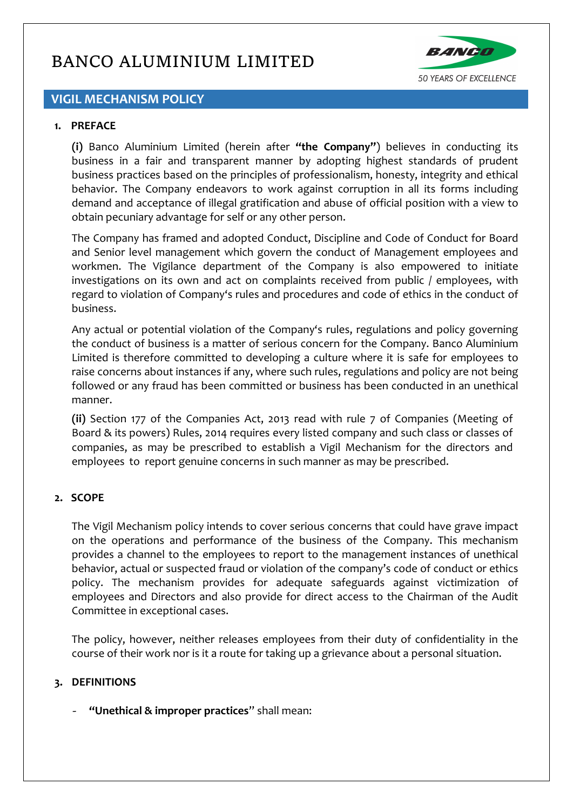

# **VIGIL MECHANISM POLICY**

#### **1. PREFACE**

**(i)** Banco Aluminium Limited (herein after **"the Company"**) believes in conducting its business in a fair and transparent manner by adopting highest standards of prudent business practices based on the principles of professionalism, honesty, integrity and ethical behavior. The Company endeavors to work against corruption in all its forms including demand and acceptance of illegal gratification and abuse of official position with a view to obtain pecuniary advantage for self or any other person.

The Company has framed and adopted Conduct, Discipline and Code of Conduct for Board and Senior level management which govern the conduct of Management employees and workmen. The Vigilance department of the Company is also empowered to initiate investigations on its own and act on complaints received from public / employees, with regard to violation of Company's rules and procedures and code of ethics in the conduct of business.

Any actual or potential violation of the Company's rules, regulations and policy governing the conduct of business is a matter of serious concern for the Company. Banco Aluminium Limited is therefore committed to developing a culture where it is safe for employees to raise concerns about instances if any, where such rules, regulations and policy are not being followed or any fraud has been committed or business has been conducted in an unethical manner.

**(ii)** Section 177 of the Companies Act, 2013 read with rule 7 of Companies (Meeting of Board & its powers) Rules, 2014 requires every listed company and such class or classes of companies, as may be prescribed to establish a Vigil Mechanism for the directors and employees to report genuine concerns in such manner as may be prescribed.

#### **2. SCOPE**

The Vigil Mechanism policy intends to cover serious concerns that could have grave impact on the operations and performance of the business of the Company. This mechanism provides a channel to the employees to report to the management instances of unethical behavior, actual or suspected fraud or violation of the company's code of conduct or ethics policy. The mechanism provides for adequate safeguards against victimization of employees and Directors and also provide for direct access to the Chairman of the Audit Committee in exceptional cases.

The policy, however, neither releases employees from their duty of confidentiality in the course of their work nor is it a route for taking up a grievance about a personal situation.

#### **3. DEFINITIONS**

*-* **"Unethical & improper practices**" shall mean: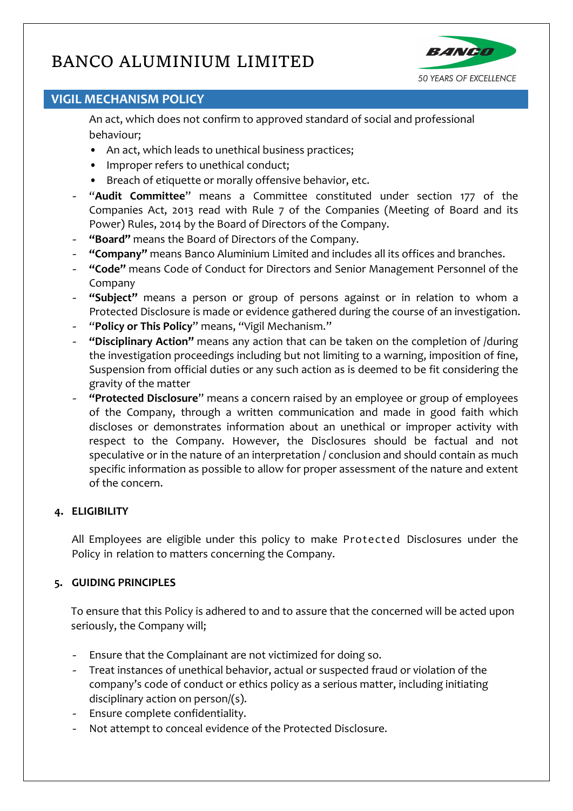

# **VIGIL MECHANISM POLICY**

An act, which does not confirm to approved standard of social and professional behaviour;

- An act, which leads to unethical business practices;
- Improper refers to unethical conduct;
- Breach of etiquette or morally offensive behavior, etc.
- *-* "**Audit Committee**" means a Committee constituted under section 177 of the Companies Act, 2013 read with Rule 7 of the Companies (Meeting of Board and its Power) Rules, 2014 by the Board of Directors of the Company.
- *-* **"Board"** means the Board of Directors of the Company.
- *-* **"Company"** means Banco Aluminium Limited and includes all its offices and branches.
- *-* **"Code"** means Code of Conduct for Directors and Senior Management Personnel of the Company
- *-* **"Subject"** means a person or group of persons against or in relation to whom a Protected Disclosure is made or evidence gathered during the course of an investigation.
- *-* "**Policy or This Policy**" means, "Vigil Mechanism."
- *-* **"Disciplinary Action"** means any action that can be taken on the completion of /during the investigation proceedings including but not limiting to a warning, imposition of fine, Suspension from official duties or any such action as is deemed to be fit considering the gravity of the matter
- *-* **"Protected Disclosure**" means a concern raised by an employee or group of employees of the Company, through a written communication and made in good faith which discloses or demonstrates information about an unethical or improper activity with respect to the Company. However, the Disclosures should be factual and not speculative or in the nature of an interpretation / conclusion and should contain as much specific information as possible to allow for proper assessment of the nature and extent of the concern.

### **4. ELIGIBILITY**

All Employees are eligible under this policy to make Protected Disclosures under the Policy in relation to matters concerning the Company.

### **5. GUIDING PRINCIPLES**

To ensure that this Policy is adhered to and to assure that the concerned will be acted upon seriously, the Company will;

- *-* Ensure that the Complainant are not victimized for doing so.
- *-* Treat instances of unethical behavior, actual or suspected fraud or violation of the company's code of conduct or ethics policy as a serious matter, including initiating disciplinary action on person/(s).
- *-* Ensure complete confidentiality.
- *-* Not attempt to conceal evidence of the Protected Disclosure.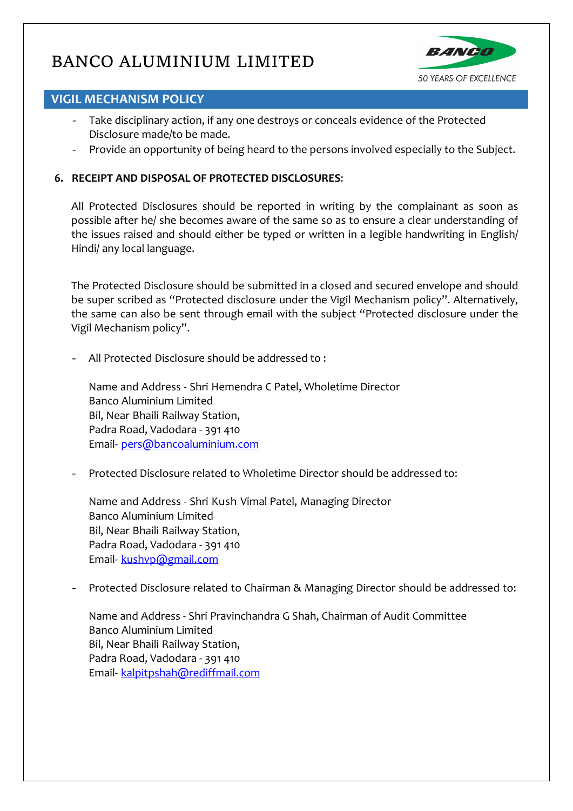

# **VIGIL MECHANISM POLICY**

- *-* Take disciplinary action, if any one destroys or conceals evidence of the Protected Disclosure made/to be made.
- *-* Provide an opportunity of being heard to the persons involved especially to the Subject.

# **6. RECEIPT AND DISPOSAL OF PROTECTED DISCLOSURES**:

All Protected Disclosures should be reported in writing by the complainant as soon as possible after he/ she becomes aware of the same so as to ensure a clear understanding of the issues raised and should either be typed or written in a legible handwriting in English/ Hindi/ any local language.

The Protected Disclosure should be submitted in a closed and secured envelope and should be super scribed as "Protected disclosure under the Vigil Mechanism policy". Alternatively, the same can also be sent through email with the subject "Protected disclosure under the Vigil Mechanism policy".

*-* All Protected Disclosure should be addressed to :

Name and Address - Shri Hemendra C Patel, Wholetime Director Banco Aluminium Limited Bil, Near Bhaili Railway Station, Padra Road, Vadodara - 391 410 Email- [pers@bancoaluminium.com](mailto:pers@bancoaluminium.com)

*-* Protected Disclosure related to Wholetime Director should be addressed to:

Name and Address - Shri Kush Vimal Patel, Managing Director Banco Aluminium Limited Bil, Near Bhaili Railway Station, Padra Road, Vadodara - 391 410 Email- [kushvp@gmail.com](mailto:kushvp@gmail.com)

*-* Protected Disclosure related to Chairman & Managing Director should be addressed to:

Name and Address - Shri Pravinchandra G Shah, Chairman of Audit Committee Banco Aluminium Limited Bil, Near Bhaili Railway Station, Padra Road, Vadodara - 391 410 Email- [kalpitpshah@rediffmail.com](mailto:kalpitpshah@rediffmail.com)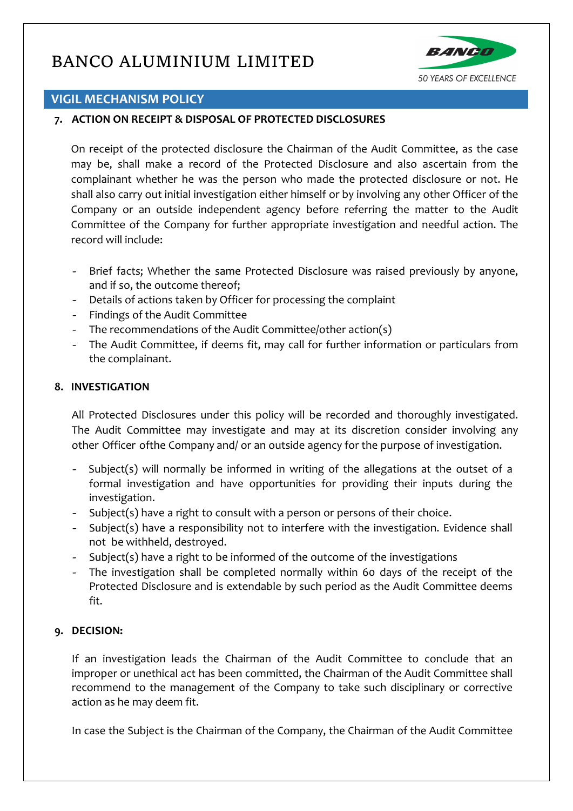

# **VIGIL MECHANISM POLICY**

### **7. ACTION ON RECEIPT & DISPOSAL OF PROTECTED DISCLOSURES**

On receipt of the protected disclosure the Chairman of the Audit Committee, as the case may be, shall make a record of the Protected Disclosure and also ascertain from the complainant whether he was the person who made the protected disclosure or not. He shall also carry out initial investigation either himself or by involving any other Officer of the Company or an outside independent agency before referring the matter to the Audit Committee of the Company for further appropriate investigation and needful action. The record will include:

- *-* Brief facts; Whether the same Protected Disclosure was raised previously by anyone, and if so, the outcome thereof;
- *-* Details of actions taken by Officer for processing the complaint
- *-* Findings of the Audit Committee
- *-* The recommendations of the Audit Committee/other action(s)
- *-* The Audit Committee, if deems fit, may call for further information or particulars from the complainant.

#### **8. INVESTIGATION**

All Protected Disclosures under this policy will be recorded and thoroughly investigated. The Audit Committee may investigate and may at its discretion consider involving any other Officer ofthe Company and/ or an outside agency for the purpose of investigation.

- *-* Subject(s) will normally be informed in writing of the allegations at the outset of a formal investigation and have opportunities for providing their inputs during the investigation.
- *-* Subject(s) have a right to consult with a person or persons of their choice.
- *-* Subject(s) have a responsibility not to interfere with the investigation. Evidence shall not be withheld, destroyed.
- *-* Subject(s) have a right to be informed of the outcome of the investigations
- *-* The investigation shall be completed normally within 60 days of the receipt of the Protected Disclosure and is extendable by such period as the Audit Committee deems fit.

### **9. DECISION:**

If an investigation leads the Chairman of the Audit Committee to conclude that an improper or unethical act has been committed, the Chairman of the Audit Committee shall recommend to the management of the Company to take such disciplinary or corrective action as he may deem fit.

In case the Subject is the Chairman of the Company, the Chairman of the Audit Committee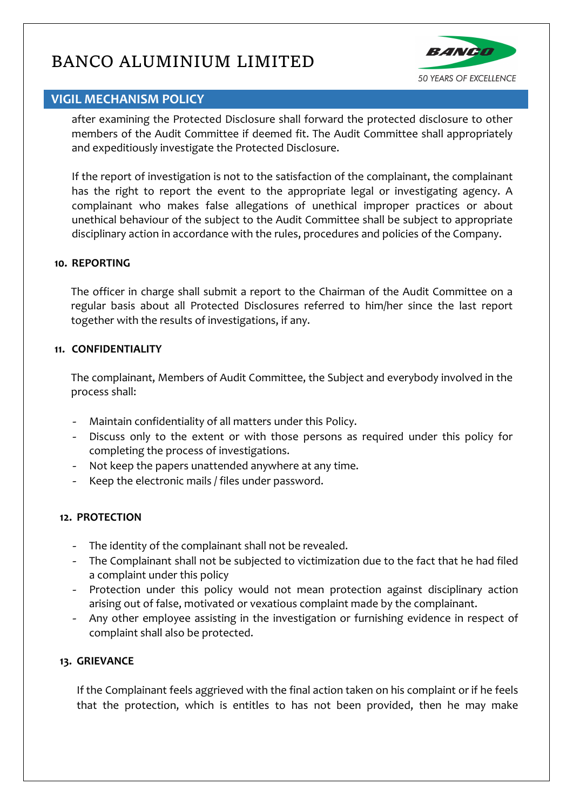

# **VIGIL MECHANISM POLICY**

after examining the Protected Disclosure shall forward the protected disclosure to other members of the Audit Committee if deemed fit. The Audit Committee shall appropriately and expeditiously investigate the Protected Disclosure.

If the report of investigation is not to the satisfaction of the complainant, the complainant has the right to report the event to the appropriate legal or investigating agency. A complainant who makes false allegations of unethical improper practices or about unethical behaviour of the subject to the Audit Committee shall be subject to appropriate disciplinary action in accordance with the rules, procedures and policies of the Company.

#### **10. REPORTING**

The officer in charge shall submit a report to the Chairman of the Audit Committee on a regular basis about all Protected Disclosures referred to him/her since the last report together with the results of investigations, if any.

#### **11. CONFIDENTIALITY**

The complainant, Members of Audit Committee, the Subject and everybody involved in the process shall:

- *-* Maintain confidentiality of all matters under this Policy.
- *-* Discuss only to the extent or with those persons as required under this policy for completing the process of investigations.
- *-* Not keep the papers unattended anywhere at any time.
- *-* Keep the electronic mails / files under password.

### **12. PROTECTION**

- *-* The identity of the complainant shall not be revealed.
- *-* The Complainant shall not be subjected to victimization due to the fact that he had filed a complaint under this policy
- *-* Protection under this policy would not mean protection against disciplinary action arising out of false, motivated or vexatious complaint made by the complainant.
- Any other employee assisting in the investigation or furnishing evidence in respect of complaint shall also be protected.

### **13. GRIEVANCE**

If the Complainant feels aggrieved with the final action taken on his complaint or if he feels that the protection, which is entitles to has not been provided, then he may make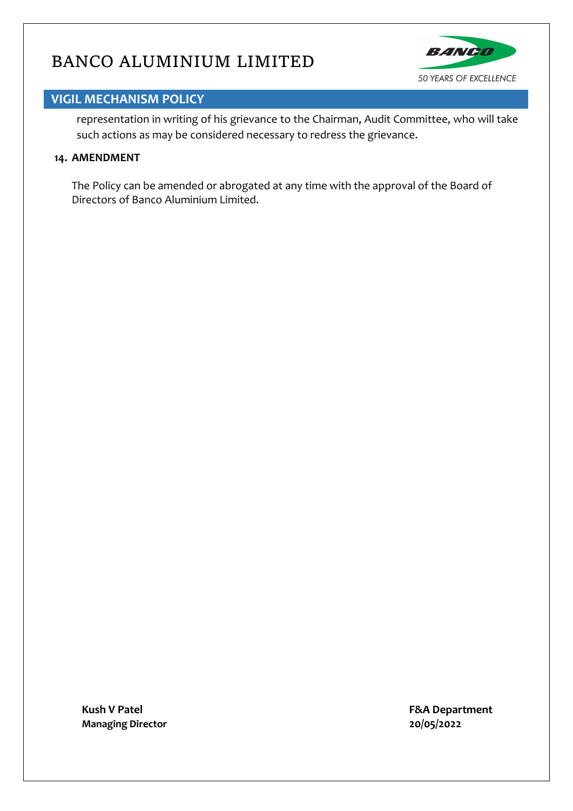

# **VIGIL MECHANISM POLICY**

representation in writing of his grievance to the Chairman, Audit Committee, who will take such actions as may be considered necessary to redress the grievance.

#### **14. AMENDMENT**

The Policy can be amended or abrogated at any time with the approval of the Board of Directors of Banco Aluminium Limited.

**Kush V Patel F&A Department Managing Director 20/05/2022**